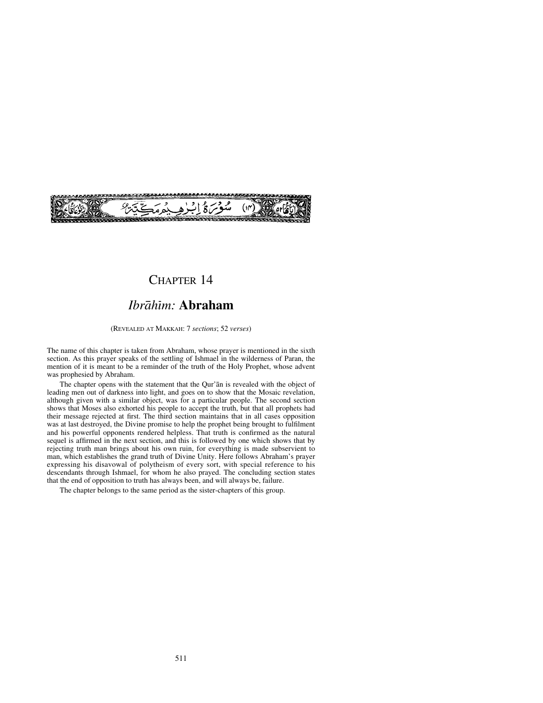

## CHAPTER 14

## *Ibråhßm:* **Abraham**

(REVEALED AT MAKKAH: 7 *sections*; 52 *verses*)

The name of this chapter is taken from Abraham, whose prayer is mentioned in the sixth section. As this prayer speaks of the settling of Ishmael in the wilderness of Paran, the mention of it is meant to be a reminder of the truth of the Holy Prophet, whose advent was prophesied by Abraham.

The chapter opens with the statement that the Qur'ån is revealed with the object of leading men out of darkness into light, and goes on to show that the Mosaic revelation, although given with a similar object, was for a particular people. The second section shows that Moses also exhorted his people to accept the truth, but that all prophets had their message rejected at first. The third section maintains that in all cases opposition was at last destroyed, the Divine promise to help the prophet being brought to fulfilment and his powerful opponents rendered helpless. That truth is confirmed as the natural sequel is affirmed in the next section, and this is followed by one which shows that by rejecting truth man brings about his own ruin, for everything is made subservient to man, which establishes the grand truth of Divine Unity. Here follows Abraham's prayer expressing his disavowal of polytheism of every sort, with special reference to his descendants through Ishmael, for whom he also prayed. The concluding section states that the end of opposition to truth has always been, and will always be, failure.

The chapter belongs to the same period as the sister-chapters of this group.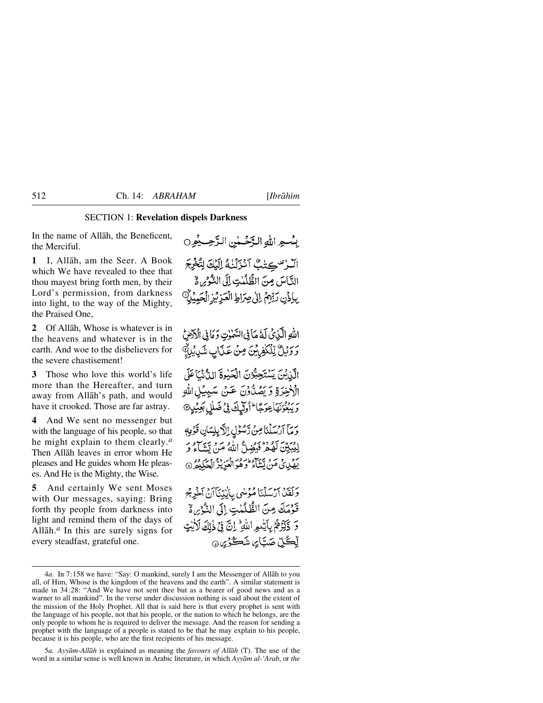#### SECTION 1: **Revelation dispels Darkness**

In the name of Allåh, the Beneficent, the Merciful.

**1** I, Allåh, am the Seer. A Book which We have revealed to thee that thou mayest bring forth men, by their Lord's permission, from darkness into light, to the way of the Mighty, the Praised One,

**2** Of Allåh, Whose is whatever is in the heavens and whatever is in the earth. And woe to the disbelievers for the severe chastisement!

**3** Those who love this world's life more than the Hereafter, and turn away from Allåh's path, and would have it crooked. Those are far astray.

**4** And We sent no messenger but with the language of his people, so that he might explain to them clearly.*<sup>a</sup>* Then Allåh leaves in error whom He pleases and He guides whom He pleases. And He is the Mighty, the Wise.

**5** And certainly We sent Moses with Our messages, saying: Bring forth thy people from darkness into light and remind them of the days of Allåh.*<sup>a</sup>* In this are surely signs for every steadfast, grateful one.

بِينْسِهِ اللَّهِ الدَّخْسِينِ الدَّجِسِيْمِينِ الرس كنبُ اَنْزَلْنْهُ إِلَيْكَ لِتُغْرِجَ التَّاسَ مِنَ الطَّلُبْتِ إِلَى الشَّحْرِيط بِلِذَنِ رَبِّهِمُ إِلَىٰ صِرَاطِ الْعَزِيْزِ الْحَبِيْلِ ۖ

اللَّهُ الَّذِينُ لَهُ مَأْ فِي السَّمْرٰتِ وَ مَا فِي الْأَدْضِ وَوَيْلٌ لِلْكَفِرِيْنَ مِنْ عَذَابٍ شَرِيْبِلَهِ الَّذِيْنَ يَسْتَحِبُّوْنَ الْحَيْوةَ الدُّنْمَاعَلَى الْأَخِرَةِ وَيَصُدَّوْنَ عَنْ سَبِيْلِ اللَّهِ ر بِرْدُ بِمَاعِدَكَا ۖ أُولَٰٓلِكَ فِي ضَلَٰلٍ بَعِيْلٍ ۞ وَمَآ ٱرۡسَلۡنَاصِنَ رَّسُوۡلِ اِلْاَبِلِسَانِ قَوۡمِهٖ لِيُبَيِّنَ لَهُمْ فَيَضِلُّ اللَّهُ مَنْ تَتَّبَاءُ وَ رو د ته سره من شاء د د د د د د د د د د و د<br>په پي مَنْ پَساء و هُوالْعَزِيْزْ الْحَكِيمْ وَلَقَلْ أَرْسَلْنَا مُؤْسٰى بِالْيَتِنَآ أَنْ أَخْرِجْ

قَوْمَكَ مِنَ الظَّلَمٰتِ إِلَى النَّوْيِ لَهُ 5 ذَكِّرْهُمُّ بِأَيَّدِ اللَّهِ ۚ إِنَّ فِي ذٰلِكَ لَأَيْتٍ لِّڪُلِّ صَتَائِر، شَڪُرُيْنَ هَ

5*a. Ayyåm-Allåh* is explained as meaning the *favours of Allåh* (T). The use of the word in a similar sense is well known in Arabic literature, in which *Ayyåm al-'Arab*, or *the*

<sup>4</sup>*a*. In 7:158 we have: "Say: O mankind, surely I am the Messenger of Allåh to you all, of Him, Whose is the kingdom of the heavens and the earth". A similar statement is made in 34:28: "And We have not sent thee but as a bearer of good news and as a warner to all mankind". In the verse under discussion nothing is said about the extent of the mission of the Holy Prophet. All that is said here is that every prophet is sent with the language of his people, not that his people, or the nation to which he belongs, are the only people to whom he is required to deliver the message. And the reason for sending a prophet with the language of a people is stated to be that he may explain to his people, because it is his people, who are the first recipients of his message.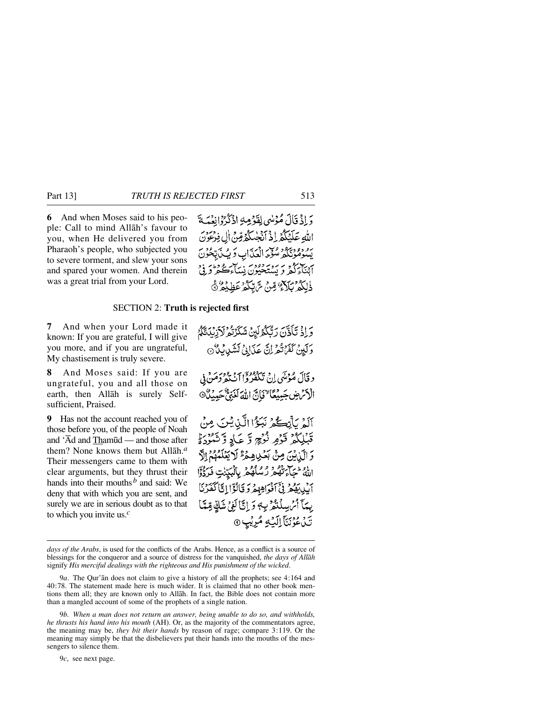**6** And when Moses said to his people: Call to mind Allåh's favour to you, when He delivered you from Pharaoh's people, who subjected you to severe torment, and slew your sons and spared your women. And therein was a great trial from your Lord.

وَإِذْ قَالَ مُؤْسُى لِقَوْمِهِ اذْكُرُوْانِعْمَدَةَ اللهِ عَلَيْكُمْ إِذْ أَنْجِئْكُمُ قِنْ إِلِ فِرْعَوْنَ يه دودبود ولك اقتراب وَ يُبِ بَعْدُنَ آئنآءَگُمْ وَ بَيْنَةَ دَوْدَ ۚ نِسَاءَكُمْ وَرَبِّي <u>ڋڸػۯؠڮٳػٷڡڹ</u>ۜ؞؆ؾػۮ؏ڟۣؽڡۯڰ

### SECTION 2: **Truth is rejected first**

**7** And when your Lord made it known: If you are grateful, I will give you more, and if you are ungrateful, My chastisement is truly severe.

**8** And Moses said: If you are ungrateful, you and all those on earth, then Allåh is surely Selfsufficient, Praised.

**9** Has not the account reached you of those before you, of the people of Noah and 'Åd and Tham∂d — and those after them? None knows them but Allåh.*<sup>a</sup>* Their messengers came to them with clear arguments, but they thrust their hands into their mouths*<sup>b</sup>* and said: We deny that with which you are sent, and surely we are in serious doubt as to that to which you invite us.*<sup>c</sup>*

وَ إِذْ تَأَذَّنَ رَبُّكُمُ لَيْنَ شَكَرْتُمْ لَأَرْبُدَتَّكُمُ وَلَيْنَ كَفَرْتُمْ زِنَّ عَذَابِيٍّ لَشَيْدِيْهِ لَا د قَالَ مُؤْتَى إِنْ تَكْفُرُواْ أَنْ تَدْوُدَهُ فِي فِي الْأَنْرُضِ جَبِيْعًا حَيَانَ اللَّهَ لَغَنِيٌّ حَبِيدٌ آلَمْ بِأَبْكُمْ نَبَوْا الَّذِيْنَ مِنْ قَبْلِكُمْ قَوْمٍ نُزُجٍ وَّ عَادِ وَّ شَيْرُهُ وَ وَ الَّذِيْنَ مِنْ بَعُدِيهِ هُمَّ لَا يَعْلَمُهُمْ إِلَّ اللهُ تَتَجَاءَتْهُمْ رُسُلُهُمْ بِالْبَيِّنْتِ فَدَدُّوْاً أَيْدِيهِمْ فِيَ ٱذْوَاهِهِمْ وَ قَالَؤَا إِنَّا كَفَرْنَا بِيمَآ أَمْ سِلۡنَٰٓ لَهِ ۖ وَ إِنَّآ لَٰهِ ۚ شَكِّ مِّيَّآ ۚ إِ نَّ نُ عُوْنَنَا اِلَيۡهِ مُرِیۡبٖ ۞

*days of the Arabs*, is used for the conflicts of the Arabs. Hence, as a conflict is a source of blessings for the conqueror and a source of distress for the vanquished, *the days of Allåh* signify *His merciful dealings with the righteous and His punishment of the wicked*.

9*a*. The Qur'ån does not claim to give a history of all the prophets; see 4:164 and 40:78. The statement made here is much wider. It is claimed that no other book mentions them all; they are known only to Allåh. In fact, the Bible does not contain more than a mangled account of some of the prophets of a single nation.

9*b. When a man does not return an answer, being unable to do so, and withholds, he thrusts his hand into his mouth* (AH). Or, as the majority of the commentators agree, the meaning may be, *they bit their hands* by reason of rage; compare 3:119. Or the meaning may simply be that the disbelievers put their hands into the mouths of the messengers to silence them.

9*c*, see next page.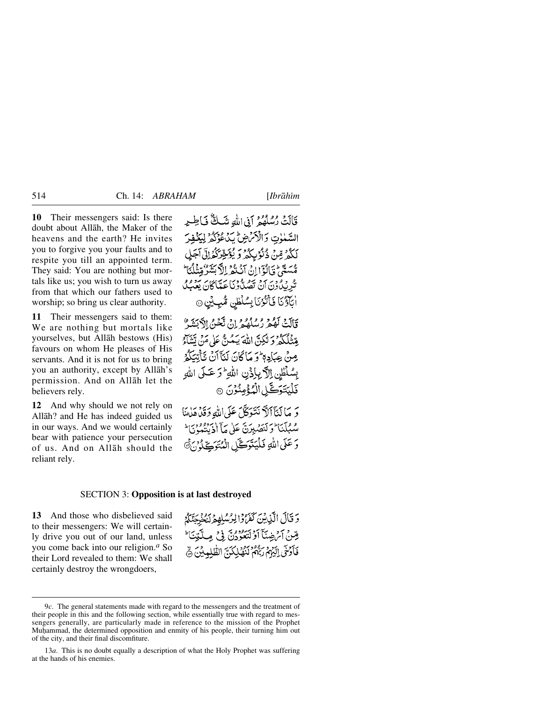**10** Their messengers said: Is there doubt about Allåh, the Maker of the heavens and the earth? He invites you to forgive you your faults and to respite you till an appointed term. They said: You are nothing but mortals like us; you wish to turn us away from that which our fathers used to worship; so bring us clear authority.

**11** Their messengers said to them: We are nothing but mortals like yourselves, but Allåh bestows (His) favours on whom He pleases of His servants. And it is not for us to bring you an authority, except by Allåh's permission. And on Allåh let the believers rely.

**12** And why should we not rely on Allåh? and He has indeed guided us in our ways. And we would certainly bear with patience your persecution of us. And on Allåh should the reliant rely.

قَالَتْ رُسُلُهُمْ أَفِي اللَّهِ شَكَّ فَبَاطِيرِ السَّمٰوٰتِ وَالْأَمْرَضِ لِّدَءُ وَكُرُّ لِيَخْفِرَ لَكُهُ مِّينٌ ذُنُوْبِكُهُ وَ يُؤَجِّرَكُمُ!لَّى آجَلَ مُّسَمَّعٌ فَبَالُوٓانُ آنُ نُثُرُ إِلَّا بَشَرٌ مِّنْأَيَّا ۖ تَكْرِيْدِلْدُوْنَ أَنْ تَصُدَّدُوْنَا عَبَّيْاً كَانَ يَعْبِدُلْ أَبَأَؤُنَا فَأَتْرُنَا بِسُلْطٰنِ مُّبِيِّنٍ ۞

قَالَتْ لَعُكُمْ دْسْلَعْيْ إِنْ تَكْحَنّْ الْآيَيْنَيْ ۚ بِقِنْلُكُمْ وَلَٰكِنَّ اللَّهَ يَمُنَّ عَلَىٰ مَنْ تَشَاْءُ مِنْ عِبَادِهِ ۖ وَ مَا كَانَ لَنَآ أَنْ تَأْتِيَكُمُ بِسُلْطِن اِلَّا بِإِذْنِ اللَّهِ ۖ وَ عَـٰلَى اللَّهِ ۖ فَلْيَتَوَكَّلِ الْمُؤْمِنُونَ ۞

وَ مَا لَنَآأَلَلَّا نَتَوَكَّلَ عَلَى اللَّهِ وَقَدْهَدَانَا و مِكْمَا وَكَنِصْبِرَنَّ عَلَى مَآ اجْتِهِ وَوَبَا ۚ وَ عَلَى اللَّهِ فَلْيَتَوَكَّلِ الْمُتَوَكِّلُ هُ

#### SECTION 3: **Opposition is at last destroyed**

**13** And those who disbelieved said to their messengers: We will certainly drive you out of our land, unless you come back into our religion.*<sup>a</sup>* So their Lord revealed to them: We shall certainly destroy the wrongdoers,

دَ قَالَ الَّذِينَ كَفَرَّوْالِرُسُلِهِمْ لَيُخْرِجَنَّكُمْ صِّنْ آيَ ضِيَآ أَوْلَتَعُوُّدُنَّ فِي مِيلَّتِينَا ۚ فَأَدْخَى إِلَيْهِمْ رَبُّهُمْ لَنُهُكِكُنَّ الظُّلِيب

<sup>9</sup>*c*. The general statements made with regard to the messengers and the treatment of their people in this and the following section, while essentially true with regard to messengers generally, are particularly made in reference to the mission of the Prophet Muhammad, the determined opposition and enmity of his people, their turning him out of the city, and their final discomfiture.

<sup>13</sup>*a*. This is no doubt equally a description of what the Holy Prophet was suffering at the hands of his enemies.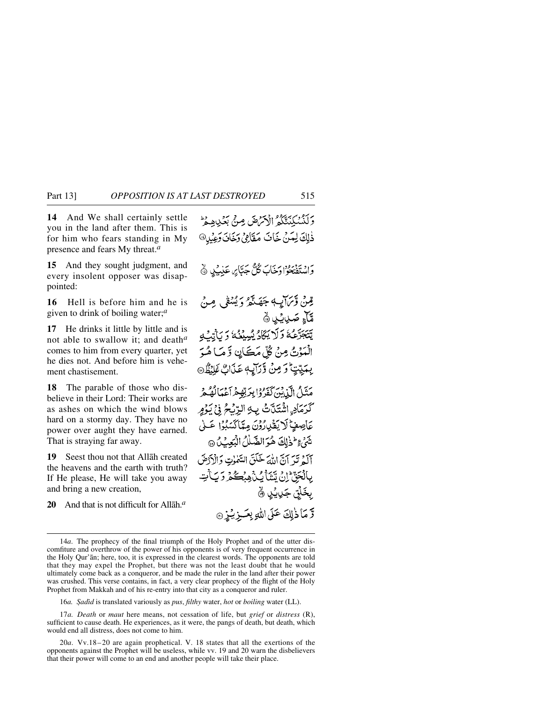**14** And We shall certainly settle you in the land after them. This is for him who fears standing in My presence and fears My threat.*<sup>a</sup>*

**15** And they sought judgment, and every insolent opposer was disappointed:

**16** Hell is before him and he is given to drink of boiling water;*<sup>a</sup>*

**17** He drinks it little by little and is not able to swallow it; and death*<sup>a</sup>* comes to him from every quarter, yet he dies not. And before him is vehement chastisement.

**18** The parable of those who disbelieve in their Lord: Their works are as ashes on which the wind blows hard on a stormy day. They have no power over aught they have earned. That is straying far away.

**19** Seest thou not that Allåh created the heavens and the earth with truth? If He please, He will take you away and bring a new creation,

**20** And that is not difficult for Allåh.*<sup>a</sup>*

وَلَدْنِيكِيِّنَّكُمُ الْأَمْرَضَ مِنْ بَعُبْدِهِ وَ ذٰلِكَ لِعَنْ خَافَ مَقَامِيْ وَخَافَ وَعِبْدِ® وَاسْتَفْتِحُوْا وَخَابَ كُلُّ جَبَّابِرٍ، عَذِبَ بِهِ ۞ قِينْ وَّيَرَايِبُهِ جَهَنَّهُمْ وَيُسْفَى مِنْ مَّآءٍ صَدِيبُ ۞ يَّبَجَرَّعُهُ وَلَا يَكَادُ يُسِيْغُهُ وَ يَأْتِيُّهِ الْمَوْتُ مِنْ كُلِّ مَكَانٍ وَمَا هُوَ بِعَيِّيْتٍ وَمِنْ وَرَآيِهِ عَذَابٌ عَلَيْظٌ مَنَّلُ الَّذِينَ كَفَرُوْا بِرَبِّهِمْ آَعْمَالُهُ مِّ كَرَمَادِ اشْتَلَّتْ بِهِ الرِّيْحُ فِي يَوْمٍ عَاصِفٍ لَا يَقْدِرُوْنَ مِيَّاكَسَبُوْا عَــٰى تَتَيَّ عِطْفْاتِكَ هُوَ الضَّلْلُ الْبَعِبُ لَ @ آلَهُ تَيْرَ آنَّ اللَّهَ خَلَقَ السَّمْوٰتِ وَالْأَدْضَ بِٱلۡجَنِّ ۚ إِنَّ يَّشَأُ بِّكُنَّ مِبۡكُمۡ وَ بَآ يَٰتِ بِخَلْق جَرِيبُ ۞ قرَّمَاذٰلِكَ عَلَى اللَّهِ بِعَــزِيْـزِ ۞

16*a. Şadīd* is translated variously as *pus, filthy* water, *hot* or *boiling* water (LL).

<sup>14</sup>*a*. The prophecy of the final triumph of the Holy Prophet and of the utter discomfiture and overthrow of the power of his opponents is of very frequent occurrence in the Holy Qur'ån; here, too, it is expressed in the clearest words. The opponents are told that they may expel the Prophet, but there was not the least doubt that he would ultimately come back as a conqueror, and be made the ruler in the land after their power was crushed. This verse contains, in fact, a very clear prophecy of the flight of the Holy Prophet from Makkah and of his re-entry into that city as a conqueror and ruler.

<sup>17</sup>*a. Death* or *maut* here means, not cessation of life, but *grief* or *distress* (R), sufficient to cause death. He experiences, as it were, the pangs of death, but death, which would end all distress, does not come to him.

<sup>20</sup>*a*. Vv.18–20 are again prophetical. V. 18 states that all the exertions of the opponents against the Prophet will be useless, while vv. 19 and 20 warn the disbelievers that their power will come to an end and another people will take their place.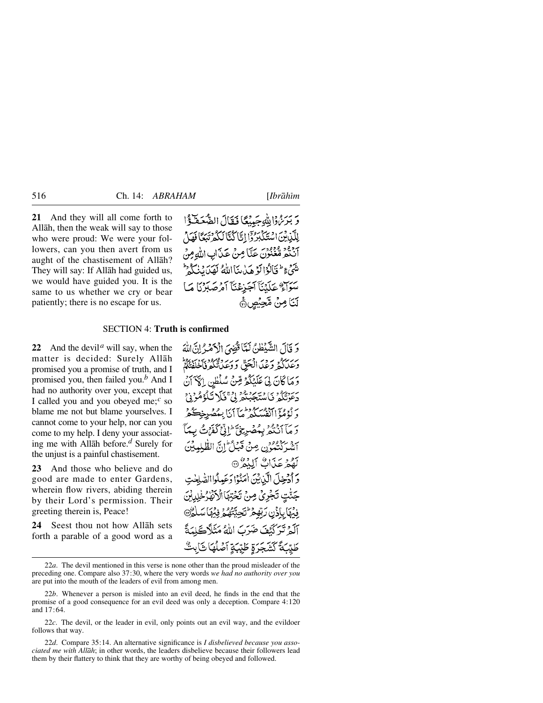**21** And they will all come forth to Allåh, then the weak will say to those who were proud: We were your followers, can you then avert from us aught of the chastisement of Allåh? They will say: If Allåh had guided us, we would have guided you. It is the same to us whether we cry or bear patiently; there is no escape for us.

وَبَرَئِنَّ اللَّهُ حَيِيْعًا فَقَالَ الصَّعَطَةُ ا إِلَيْنِ بِنَ اسْتَكَبَّرُ دَّا إِيَّا كُنَّا لَكُمْ تَبَعًا فَهَلْ م دود و ودود.<br>انگفر متعنون عَدَّا مِنْ عَدَابِ اللهِ مِنْ مِنْتَهُمْ ءِ ۖ فَنَالُوْا لَوْ هَدُ مِنَا اللَّهُ لَهَدَ نَهُدَا نَهُ لَيْ سَوَاءٌ عَلَيْنَآ آَجَرْعُنَآ آَمُرْصَلِرْنَا مَا لَنَا مِنْ مَّحِيُصِ۞

#### SECTION 4: **Truth is confirmed**

**22** And the devil*<sup>a</sup>* will say, when the matter is decided: Surely Allåh promised you a promise of truth, and I promised you, then failed you.*<sup>b</sup>* And I had no authority over you, except that I called you and you obeyed me;*<sup>c</sup>* so blame me not but blame yourselves. I cannot come to your help, nor can you come to my help. I deny your associating me with Allåh before.*<sup>d</sup>* Surely for the unjust is a painful chastisement.

**23** And those who believe and do good are made to enter Gardens, wherein flow rivers, abiding therein by their Lord's permission. Their greeting therein is, Peace!

**24** Seest thou not how Allåh sets forth a parable of a good word as a وَ قَالَ الشَّيْطُنُ لَمَّا قُضِيَ الْأَهْرُ إِنَّ اللَّهَ برسيد وعد انْجَقّْ وَمِعْدَتْكُمْ فَأَخَلَقْتُكُمْ وَمَاكَانَ لِيَ عَلَيْكُمْ قِنْ سُلْطُنِ إِلَيْهَ أَنْ ىر دەرە ئايدىردور دەت.<br>دېئوتىگە ئاستىجېتىر بى قىلا ئىگۇمگرىي دَ لَوْهُمْ ۡآٰاتْفُسَكُمْ ثُمَّآاَنَا بِيَمْضُرِجْڪُمْ دَ مَآَ أَنْنَثُرُ بِمُصْرِيخٌ ۖ إِنِّي كَفَرْتُ بِيمَآ سر سر دورو.<br>انتسر كنيمون عبي قيباط ابن الطّلبيبينَ لَّقْمَ عَذَاكٌ أَلَّكُمْ ۞ وَ أَدْخِلَ الَّذِيْنَ اٰمَنُوْا دَعَبِيلُواالصَّلِحْتِ جَنّْتٍ تَجْرِيٌّ مِنْ تَخْتِهَا الْأَنْهَارُخْلِدِ ۣۏؽٙۿٲۑٳۮ۬ڹۘۘڒؾڡؚڂ؆ؾؘڿؾۜڟۿۄٛ؋ۣؽۿٲۺ آلَمْ تَرَكَّنْفَ ضَرَبَ اللَّهُ مَثَلاً كَلِّمَةً طَيِّبَةً كَشَجَرَةٍ طَيِّبَةٍ آصَلُهَا ثَابِثٌ

<sup>22</sup>*a*. The devil mentioned in this verse is none other than the proud misleader of the preceding one. Compare also 37:30, where the very words *we had no authority over you* are put into the mouth of the leaders of evil from among men.

<sup>22</sup>*b*. Whenever a person is misled into an evil deed, he finds in the end that the promise of a good consequence for an evil deed was only a deception. Compare 4:120 and 17:64.

<sup>22</sup>*c*. The devil, or the leader in evil, only points out an evil way, and the evildoer follows that way.

<sup>22</sup>*d*. Compare 35:14. An alternative significance is *I disbelieved because you associated me with Allåh*; in other words, the leaders disbelieve because their followers lead them by their flattery to think that they are worthy of being obeyed and followed.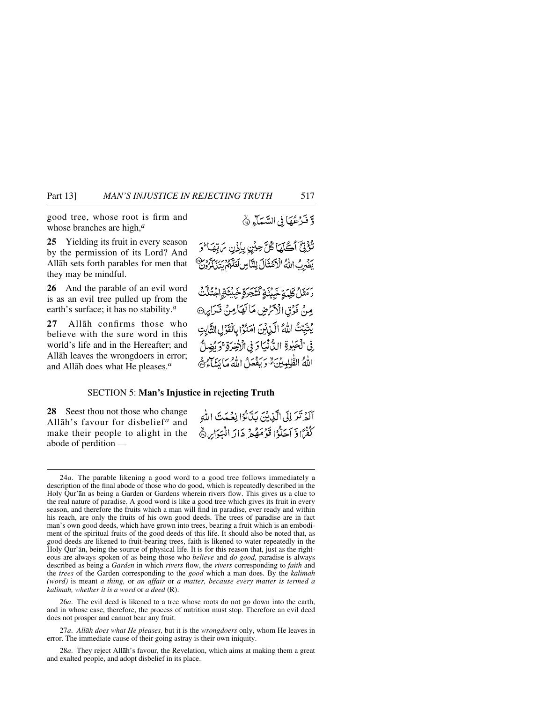good tree, whose root is firm and whose branches are high,*<sup>a</sup>*

**25** Yielding its fruit in every season by the permission of its Lord? And Allåh sets forth parables for men that they may be mindful.

**26** And the parable of an evil word is as an evil tree pulled up from the earth's surface; it has no stability.*<sup>a</sup>*

**27** Allåh confirms those who believe with the sure word in this world's life and in the Hereafter; and Allåh leaves the wrongdoers in error; and Allåh does what He pleases.*<sup>a</sup>*

## وَفَرْعُهَا فِي السَّمَاءِ &

تَؤْتِيَّ أَكْلَهَا كُلَّ حِبْنٍ بِإِذْنِ مَ تِهَا ۚ وَ رور برورد.<br>يضرِبُ اللهُ الْأَهْتَالَ لِلنَّاسِ لَعَلَّهُمْ يَتَنْ لَأَرُونَ

*ۯ*ؘؘؘؘۿؘؘػڸؠؘۊڿؘؠؽؘۊػؘؿؘڿۯۊٟڿؠؽؙؾؘۊۣڶۼٛؾ۠ڐٞٮٛ مِنْ ذَرْقِ الْأَكْرَضِ مَا لَهَا مِنْ قَدَارِهِ® يُتَبِّتُ اللَّهُ الَّذِينَ امَنُوْا بِالْقَوْلِ الثَّابِتِ فِي الْحَيْوِةِ الدُّنْبَاوَ فِي الْإِخِيرَةِ ۚ وَ يُضِلُّ اللهُ الطّْلِبِينَ وَيَفْعَلُ اللَّهُ مَا يَسَاءُ ﴾

#### SECTION 5: **Man's Injustice in rejecting Truth**

**28** Seest thou not those who change Allāh's favour for disbelief<sup>*a*</sup> and make their people to alight in the abode of perdition —

أَلَّهُ نَبْرَ إِلَى الَّذِينَ بَدَّلُوْا نِعْبِدَتَ اللَّهِ كَفْرًا وَّ أَجَلُّوْا قَوْمَهُمْ جَالَهِ الْبَيَوَابِي ۞

26*a*. The evil deed is likened to a tree whose roots do not go down into the earth, and in whose case, therefore, the process of nutrition must stop. Therefore an evil deed does not prosper and cannot bear any fruit.

27*a*. *Allåh does what He pleases,* but it is the *wrongdoers* only, whom He leaves in error. The immediate cause of their going astray is their own iniquity.

28*a*. They reject Allåh's favour, the Revelation, which aims at making them a great and exalted people, and adopt disbelief in its place.

<sup>24</sup>*a*. The parable likening a good word to a good tree follows immediately a description of the final abode of those who do good, which is repeatedly described in the Holy Qur'ån as being a Garden or Gardens wherein rivers flow. This gives us a clue to the real nature of paradise. A good word is like a good tree which gives its fruit in every season, and therefore the fruits which a man will find in paradise, ever ready and within his reach, are only the fruits of his own good deeds. The trees of paradise are in fact man's own good deeds, which have grown into trees, bearing a fruit which is an embodiment of the spiritual fruits of the good deeds of this life. It should also be noted that, as good deeds are likened to fruit-bearing trees, faith is likened to water repeatedly in the Holy Qur'ån, being the source of physical life. It is for this reason that, just as the righteous are always spoken of as being those who *believe* and *do good,* paradise is always described as being a *Garden* in which *rivers* flow, the *rivers* corresponding to *faith* and the *trees* of the Garden corresponding to the *good* which a man does. By the *kalimah (word)* is meant *a thing,* or *an affair* or *a matter, because every matter is termed a kalimah, whether it is a word* or *a deed* (R).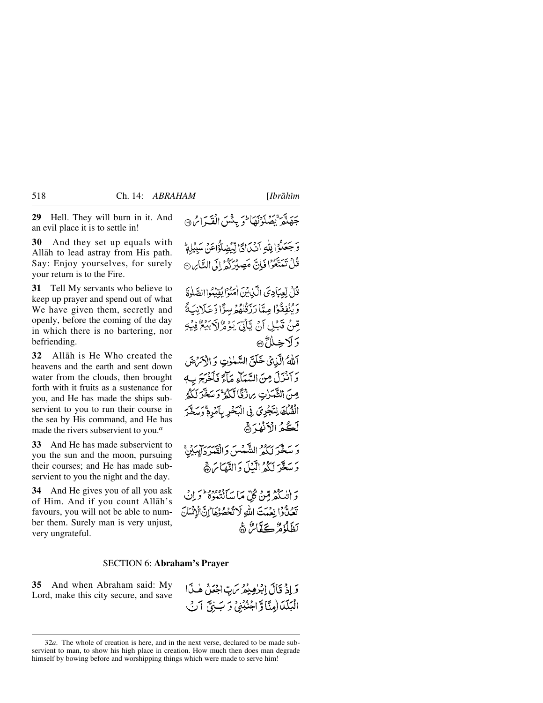**30** And they set up equals with Allåh to lead astray from His path. Say: Enjoy yourselves, for surely your return is to the Fire.

**31** Tell My servants who believe to keep up prayer and spend out of what We have given them, secretly and openly, before the coming of the day in which there is no bartering, nor befriending.

**32** Allåh is He Who created the heavens and the earth and sent down water from the clouds, then brought forth with it fruits as a sustenance for you, and He has made the ships subservient to you to run their course in the sea by His command, and He has made the rivers subservient to you.*<sup>a</sup>*

**33** And He has made subservient to you the sun and the moon, pursuing their courses; and He has made subservient to you the night and the day.

**34** And He gives you of all you ask of Him. And if you count Allåh's favours, you will not be able to number them. Surely man is very unjust, very ungrateful.

# جَهَنَّهُ بَيْضَلُّوْنَهَا مُوَ بِيَثْيَنِ الْفَيْرَاسُ®

وَجَعَلُوُا لِلَّهِ آنَكَ ادًا لِّيُضِلُّوُاعَنَ سَبِيْلِهِ قُلْ تَمَتَّعُوْا فَإِنَّ مَصِبْرَكُمْ! لَي التَّابِنِ۞

قُلْ لِعِبَادِيَ الَّذِيْنَ اٰمَنُوْا يُقِيْدُواالصَّلٰوَةَ وَيُنْفِقُوْا مِيَّا رَبِّنُهُ وَسِرًّا وَّعَلَانِكَةً مِّينْ قَبْلِ أَنْ يَأْتِيَ يَوْ هُرُلاً بِيَعْرُفِيْهِ وَلَاخِلُاُنَ

أَلَّهُ الَّذِيْ خَلَقَ السَّمْوٰتِ وَ الْأَحْرَضَ بِرِ دِبِرٍ مِنَ السَّبَاءِ مَالَّةِ فَأَخْرَجَ بِ مِنَ الثَّمَرٰتِ مِن زُقَّا لَّكُمُّ ۚ وَسَخَّرَ لَكُمُّ الْفُلْكَ لِتَجْرِيَ فِي الْبَحْرِ بِأَمْرِمْ وَسَغَّرَ لَكُمُ الْأَنْفُهُ ﴾

ر به مردود التّه من واقع روبار.<br>وَ سَخّرَ لِكُمْ الشّمسَ وَالْقَمَرْدَايِبِيْنِيّْ دَ يَعَدَّ لَكُهُ الْبَيْلَ دَ النَّعَائِرَةَ ۚ

وَ اٰتِيٰ كُمْ مِّنْ كُلِّ مَا مَبَانَتِهُوَهُ ۖ وَ إِنْ يَوْ وَوَا رَحْمَتَ اللَّهِ لَا تَحْصُوْهَا إِنَّ الْإِنْسَانَ كظلَّهُمْ كَيَقَامٌ هَ

#### SECTION 6: **Abraham's Prayer**

**35** And when Abraham said: My Lord, make this city secure, and save

وَإِذْ قَالَ إِبْرٰهِيْهُ ِسَ بِ اجْعَلُ هٰذَا الْبَلْدَالِمِنَّا وَّاجْنُبْنِي دَ بَ جَيِّ ٱنْ

<sup>32</sup>*a*. The whole of creation is here, and in the next verse, declared to be made subservient to man, to show his high place in creation. How much then does man degrade himself by bowing before and worshipping things which were made to serve him!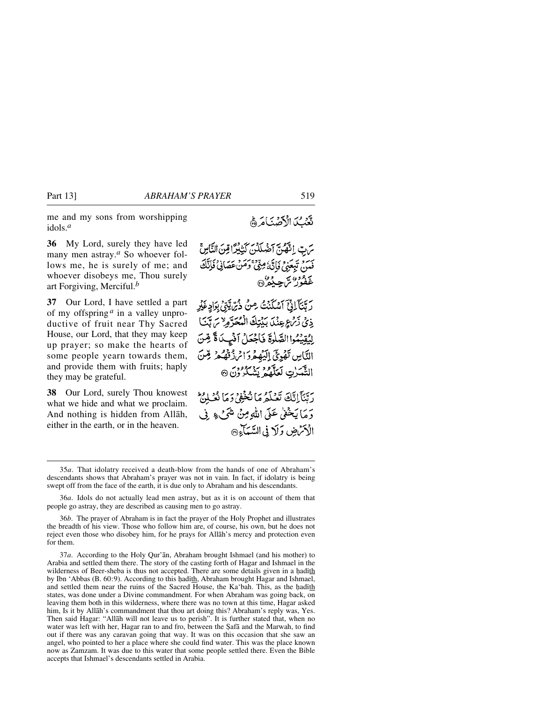me and my sons from worshipping idols.*<sup>a</sup>*

**36** My Lord, surely they have led many men astray.*<sup>a</sup>* So whoever follows me, he is surely of me; and whoever disobeys me, Thou surely art Forgiving, Merciful.*<sup>b</sup>*

**37** Our Lord, I have settled a part of my offspring *<sup>a</sup>* in a valley unproductive of fruit near Thy Sacred House, our Lord, that they may keep up prayer; so make the hearts of some people yearn towards them, and provide them with fruits; haply they may be grateful.

**38** Our Lord, surely Thou knowest what we hide and what we proclaim. And nothing is hidden from Allåh, either in the earth, or in the heaven.

تَعْبُكَ الْأَصْنَامَ وَ

يَرِتِ انْتَهْدَى آخَهِلَدْيَ كَتَبْدَرًا قِينَ النَّاسِ ۚ فَيَنِ تَبِعَنِيٌّ فَإِنَّهُ مِنِّيٌّ وَمَنْ عَصَانِيٌّ فَإِنَّكَ ءوه، سي ده»<br>غفور ش چېدره

رِ بَّنَآ الِّ آَسْكَنْتُ مِنْ ذُرِّ يَّتِيْ بِوَادٍ غَيْرِ ذِي زَمْ عِنْدَ بَيْتِكَ الْمُحَرَّوِ لاَ مَ تَبَنَ إِيُقِيَٰهُوا الصَّلْوَةَ فَاجْعَلْ أَنْهِيدَاةً قِسَّ التَّامِينِ تَفْرِيِّ إِلَيْهِمْ دَائِرِ ذَقْهُ مِرْ قِنْ الثَّمَيْنِ لَعَلَّمُهُ بَيْنِيْكُرُوْنَ @

دِيّنَآ إِيَّكَ تَعْبَدُهُ مَا نُجُفُوْ دَمَا نُعَيْلُهُ ۖ وَمَا يَخْفُىٰ عَلَى اللَّهِ مِنْ شَيْءٍ فِي الأحْمُضِ وَلَا فِي السَّيَآءِ۞

36*b*. The prayer of Abraham is in fact the prayer of the Holy Prophet and illustrates the breadth of his view. Those who follow him are, of course, his own, but he does not reject even those who disobey him, for he prays for Allåh's mercy and protection even for them.

37*a*. According to the Holy Qur'ån, Abraham brought Ishmael (and his mother) to Arabia and settled them there. The story of the casting forth of Hagar and Ishmael in the wilderness of Beer-sheba is thus not accepted. There are some details given in a hadith by Ibn 'Abbas (B. 60:9). According to this hadith, Abraham brought Hagar and Ishmael, and settled them near the ruins of the Sacred House, the Ka'bah. This, as the hadith states, was done under a Divine commandment. For when Abraham was going back, on leaving them both in this wilderness, where there was no town at this time, Hagar asked him, Is it by Allåh's commandment that thou art doing this? Abraham's reply was, Yes. Then said Hagar: "Allåh will not leave us to perish". It is further stated that, when no water was left with her, Hagar ran to and fro, between the Safa and the Marwah, to find out if there was any caravan going that way. It was on this occasion that she saw an angel, who pointed to her a place where she could find water. This was the place known now as Zamzam. It was due to this water that some people settled there. Even the Bible accepts that Ishmael's descendants settled in Arabia.

<sup>35</sup>*a*. That idolatry received a death-blow from the hands of one of Abraham's descendants shows that Abraham's prayer was not in vain. In fact, if idolatry is being swept off from the face of the earth, it is due only to Abraham and his descendants.

<sup>36</sup>*a*. Idols do not actually lead men astray, but as it is on account of them that people go astray, they are described as causing men to go astray.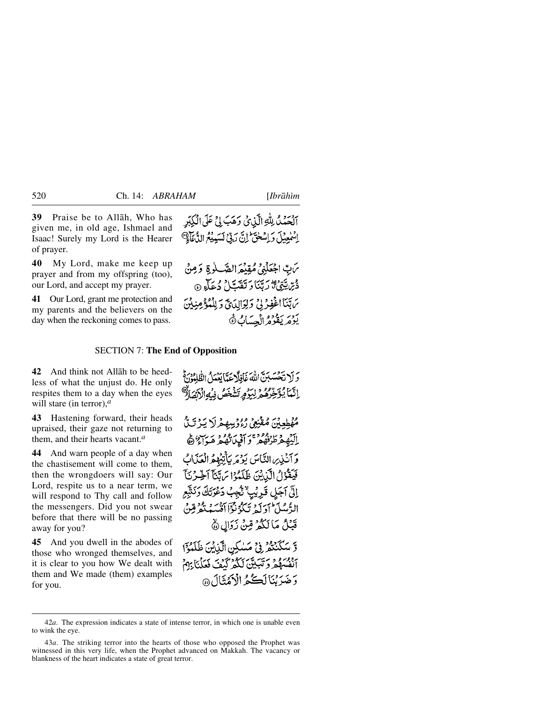**39** Praise be to Allåh, Who has given me, in old age, Ishmael and Isaac! Surely my Lord is the Hearer of prayer.

**40** My Lord, make me keep up prayer and from my offspring (too), our Lord, and accept my prayer.

**41** Our Lord, grant me protection and my parents and the believers on the day when the reckoning comes to pass.

آلْحَمْدُ لِلَّهِ الَّذِيْ وَهَبَ لِيَّ عَلَى الْكِبَرِ اِسْمٰعِيْلَ دَ اِسْخَتَ ۖ إِنَّ رَبِّيٍّ لَسَبِيْعُ الدُّعَاْفِيِّ

يَن بِّ اجْعَلْنِي مُقِيْعَ الصَّلٰوةِ وَمِنْ دْيْرَ يَتَوْقِيمَ رَبِّيَنَا دَ تَفَدَّيْلُ دُعَاْءِ ۞ بَاتِنَا الْخَفِرُ لِيُ وَلِوَالِدَىِّ وَلِلْمُؤْمِنِيْنَ يَوْمَرِ يَقُوْمُ الْحِسَابُ ﴾

#### SECTION 7: **The End of Opposition**

**42** And think not Allåh to be heedless of what the unjust do. He only respites them to a day when the eyes will stare (in terror),*<sup>a</sup>*

**43** Hastening forward, their heads upraised, their gaze not returning to them, and their hearts vacant.*<sup>a</sup>*

**44** And warn people of a day when the chastisement will come to them, then the wrongdoers will say: Our Lord, respite us to a near term, we will respond to Thy call and follow the messengers. Did you not swear before that there will be no passing away for you?

**45** And you dwell in the abodes of those who wronged themselves, and it is clear to you how We dealt with them and We made (them) examples for you.

وَ لَا تَحْسَبُنَّ اللَّهَ غَافِلًا عَدًّا بَعْدَلُ الظُّلْمُوْنَ ثُمَّ إِنَّمَا بُوَخِّرْهُ بِهِ بِدَوْمِرتَشْخَصُ فِيُهِ الْأَ

مُهْطِعِيْنَ مُقْنِعِي رُءُوتِيهِمْرِلَا يَـرْتَبَّ اليُّهِ دَ الرُّهُ مِنْ أَفْيَاتُهُ مِ مَرَاسٌ هَ أَ وَ أَنْذِيهِ النَّاسَ يَوْمَرِ يَأْتِيْهِمُ الْعَذَابُ فَيَقْوُلُ الَّذِيْنَ ظَلَمُوْا بَرِيَّنَآ أَخِيرُنَآَ إِلَى آجَلِ قَرِيْبِ نُّجِبُ دَعْرَتَكَ وَنَثَيْعِ الرُّسُلَ أوَلَهُ تَبَكَّرُنَّكَمَ أَنْسَهُ نَعْرُقِينَ قَبْلُ مَا لَكُمْ مِّنْ زَدَالِ ۞

وَّ سَكَنْتُمْرِ فِي مَسْكِنِ الَّذِينَ ظَلَمْوَا أَنْفُسِهُمْ وَتَبَيَّنَ لَكُمْ كَيْفَ فَعَلْنَا بِهِمْ وَجَهَدَتَنَالَڪُمُ الْأَهُثَالَ@

<sup>42</sup>*a*. The expression indicates a state of intense terror, in which one is unable even to wink the eye.

<sup>43</sup>*a*. The striking terror into the hearts of those who opposed the Prophet was witnessed in this very life, when the Prophet advanced on Makkah. The vacancy or blankness of the heart indicates a state of great terror.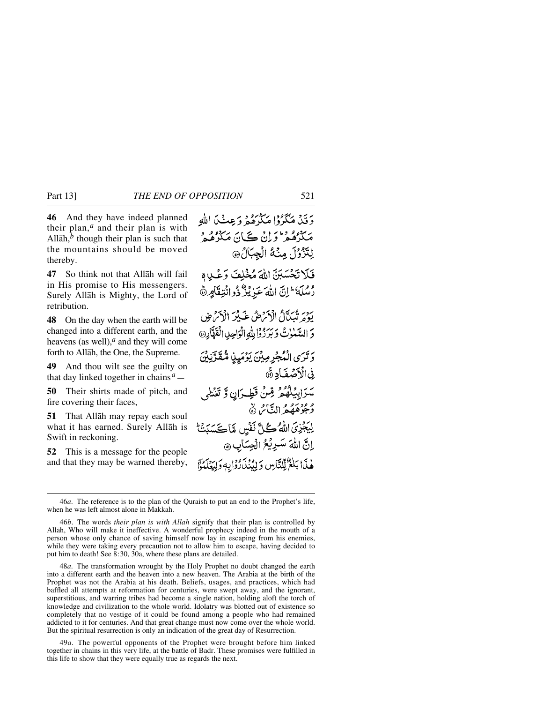**46** And they have indeed planned their plan,*<sup>a</sup>* and their plan is with Allāh, $<sup>b</sup>$  though their plan is such that</sup> the mountains should be moved thereby.

**47** So think not that Allåh will fail in His promise to His messengers. Surely Allåh is Mighty, the Lord of retribution.

**48** On the day when the earth will be changed into a different earth, and the heavens (as well),*<sup>a</sup>* and they will come forth to Allåh, the One, the Supreme.

**49** And thou wilt see the guilty on that day linked together in chains*a —*

**50** Their shirts made of pitch, and fire covering their faces,

**51** That Allåh may repay each soul what it has earned. Surely Allåh is Swift in reckoning.

**52** This is a message for the people and that they may be warned thereby,

دَ قَبْلُ مَكْرُوْا مَكْرُهُ وَعِيشُلَ اللَّهِ مَکْرُهُمْ وَلِنْ ڪَانَ مَکْرُهُمْ و لِتَزْوُلَ مِنْهُ الْجِبَالُ® فَلَاتَحْسَبَنّ اللَّهَ مُخْلِفَ وَعْلِيهِ ومِكَهُ إِنَّ اللَّهَ عَزِيْزٌ ذُوانَتِقَامٍ ﴾ يَوْمَ تَبَيَّلَ الْأَيْرَضُ غَيْبُرَ الْأَيْرَضِ وَ السَّيْبِرْتُ وَبَرَ زُوۡا لِلَّهِ الْوَاحِدِ الْقَوَّارِ۞ وَتَرَى الْمُجْرِمِينَ يَوْمَيِنِ مُّقَدَّنِينَ فِي الْأَصْفَادِ ﴾ سَرَابِيْلُهُمْ مِّنْ قَطِـرَانٍ وَّ تَغَشْى وُجُوْهَهُمُ النَّاسُ ۞ لِيَجْزِيَ اللَّهُ كُلِّ نَفْسٍ مَّاكَسَبَتْ إِنَّ اللَّهَ سَرِيْعُ الْجِسَابِ ۞ هٰذَا بَلَغٌ لِّللَّاسِ وَإِبْنُذَارُدَا بِهِ وَلِيَعْلَمَوْا

48*a*. The transformation wrought by the Holy Prophet no doubt changed the earth into a different earth and the heaven into a new heaven. The Arabia at the birth of the Prophet was not the Arabia at his death. Beliefs, usages, and practices, which had baffled all attempts at reformation for centuries, were swept away, and the ignorant, superstitious, and warring tribes had become a single nation, holding aloft the torch of knowledge and civilization to the whole world. Idolatry was blotted out of existence so completely that no vestige of it could be found among a people who had remained addicted to it for centuries. And that great change must now come over the whole world. But the spiritual resurrection is only an indication of the great day of Resurrection.

49*a*. The powerful opponents of the Prophet were brought before him linked together in chains in this very life, at the battle of Badr. These promises were fulfilled in this life to show that they were equally true as regards the next.

<sup>46</sup>*a*. The reference is to the plan of the Quraish to put an end to the Prophet's life, when he was left almost alone in Makkah.

<sup>46</sup>*b*. The words *their plan is with Allåh* signify that their plan is controlled by Allåh, Who will make it ineffective. A wonderful prophecy indeed in the mouth of a person whose only chance of saving himself now lay in escaping from his enemies, while they were taking every precaution not to allow him to escape, having decided to put him to death! See 8:30, 30a, where these plans are detailed.